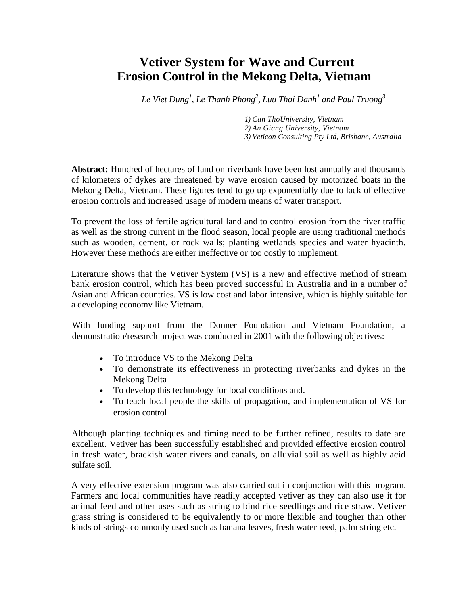# **Vetiver System for Wave and Current Erosion Control in the Mekong Delta, Vietnam**

 $Le\ Viet\ Dung^1$ ,  $Le\ Thanh\ Phong^2$ ,  $Luu\ Thai\ Danh^1$  and  $Paul\ Truong^3$ 

*1) Can ThoUniversity, Vietnam 2) An Giang University, Vietnam 3) Veticon Consulting Pty Ltd, Brisbane, Australia* 

**Abstract:** Hundred of hectares of land on riverbank have been lost annually and thousands of kilometers of dykes are threatened by wave erosion caused by motorized boats in the Mekong Delta, Vietnam. These figures tend to go up exponentially due to lack of effective erosion controls and increased usage of modern means of water transport.

To prevent the loss of fertile agricultural land and to control erosion from the river traffic as well as the strong current in the flood season, local people are using traditional methods such as wooden, cement, or rock walls; planting wetlands species and water hyacinth. However these methods are either ineffective or too costly to implement.

Literature shows that the Vetiver System (VS) is a new and effective method of stream bank erosion control, which has been proved successful in Australia and in a number of Asian and African countries. VS is low cost and labor intensive, which is highly suitable for a developing economy like Vietnam.

With funding support from the Donner Foundation and Vietnam Foundation, a demonstration/research project was conducted in 2001 with the following objectives:

- To introduce VS to the Mekong Delta
- To demonstrate its effectiveness in protecting riverbanks and dykes in the Mekong Delta
- To develop this technology for local conditions and.
- To teach local people the skills of propagation, and implementation of VS for erosion control

Although planting techniques and timing need to be further refined, results to date are excellent. Vetiver has been successfully established and provided effective erosion control in fresh water, brackish water rivers and canals, on alluvial soil as well as highly acid sulfate soil.

A very effective extension program was also carried out in conjunction with this program. Farmers and local communities have readily accepted vetiver as they can also use it for animal feed and other uses such as string to bind rice seedlings and rice straw. Vetiver grass string is considered to be equivalently to or more flexible and tougher than other kinds of strings commonly used such as banana leaves, fresh water reed, palm string etc.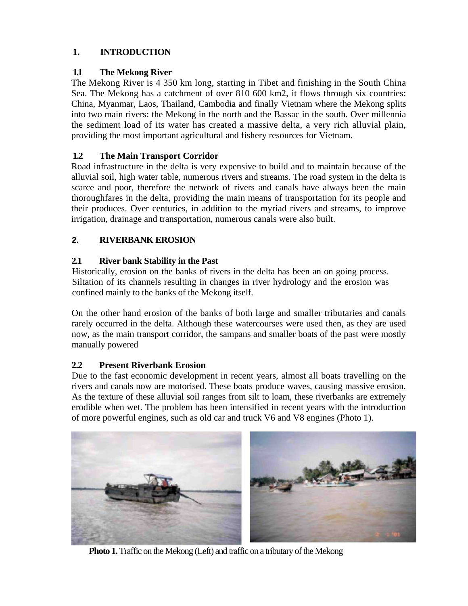# **1. INTRODUCTION**

# **1.1 The Mekong River**

The Mekong River is 4 350 km long, starting in Tibet and finishing in the South China Sea. The Mekong has a catchment of over 810 600 km2, it flows through six countries: China, Myanmar, Laos, Thailand, Cambodia and finally Vietnam where the Mekong splits into two main rivers: the Mekong in the north and the Bassac in the south. Over millennia the sediment load of its water has created a massive delta, a very rich alluvial plain, providing the most important agricultural and fishery resources for Vietnam.

# **1.2 The Main Transport Corridor**

Road infrastructure in the delta is very expensive to build and to maintain because of the alluvial soil, high water table, numerous rivers and streams. The road system in the delta is scarce and poor, therefore the network of rivers and canals have always been the main thoroughfares in the delta, providing the main means of transportation for its people and their produces. Over centuries, in addition to the myriad rivers and streams, to improve irrigation, drainage and transportation, numerous canals were also built.

# **2. RIVERBANK EROSION**

# **2.1 River bank Stability in the Past**

Historically, erosion on the banks of rivers in the delta has been an on going process. Siltation of its channels resulting in changes in river hydrology and the erosion was confined mainly to the banks of the Mekong itself.

On the other hand erosion of the banks of both large and smaller tributaries and canals rarely occurred in the delta. Although these watercourses were used then, as they are used now, as the main transport corridor, the sampans and smaller boats of the past were mostly manually powered

# **2.2 Present Riverbank Erosion**

Due to the fast economic development in recent years, almost all boats travelling on the rivers and canals now are motorised. These boats produce waves, causing massive erosion. As the texture of these alluvial soil ranges from silt to loam, these riverbanks are extremely erodible when wet. The problem has been intensified in recent years with the introduction of more powerful engines, such as old car and truck V6 and V8 engines (Photo 1).



**Photo 1.** Traffic on the Mekong (Left) and traffic on a tributary of the Mekong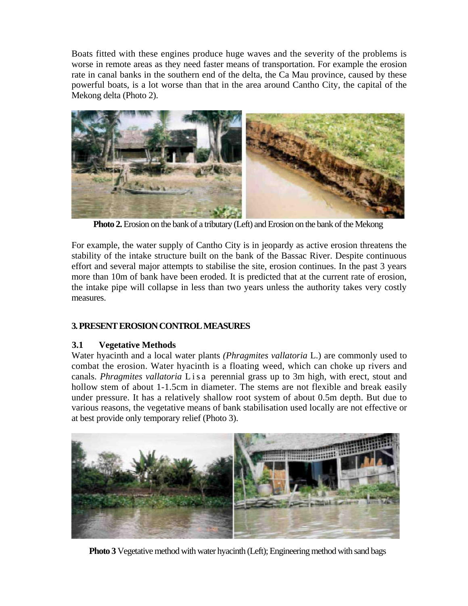Boats fitted with these engines produce huge waves and the severity of the problems is worse in remote areas as they need faster means of transportation. For example the erosion rate in canal banks in the southern end of the delta, the Ca Mau province, caused by these powerful boats, is a lot worse than that in the area around Cantho City, the capital of the Mekong delta (Photo 2).



**Photo 2.** Erosion on the bank of a tributary (Left) and Erosion on the bank of the Mekong

For example, the water supply of Cantho City is in jeopardy as active erosion threatens the stability of the intake structure built on the bank of the Bassac River. Despite continuous effort and several major attempts to stabilise the site, erosion continues. In the past 3 years more than 10m of bank have been eroded. It is predicted that at the current rate of erosion, the intake pipe will collapse in less than two years unless the authority takes very costly measures.

# **3. PRESENT EROSION CONTROL MEASURES**

# **3.1 Vegetative Methods**

Water hyacinth and a local water plants *(Phragmites vallatoria* L.) are commonly used to combat the erosion. Water hyacinth is a floating weed, which can choke up rivers and canals. *Phragmites vallatoria* L is a perennial grass up to 3m high, with erect, stout and hollow stem of about 1-1.5cm in diameter. The stems are not flexible and break easily under pressure. It has a relatively shallow root system of about 0.5m depth. But due to various reasons, the vegetative means of bank stabilisation used locally are not effective or at best provide only temporary relief (Photo 3).



**Photo 3** Vegetative method with water hyacinth (Left); Engineering method with sand bags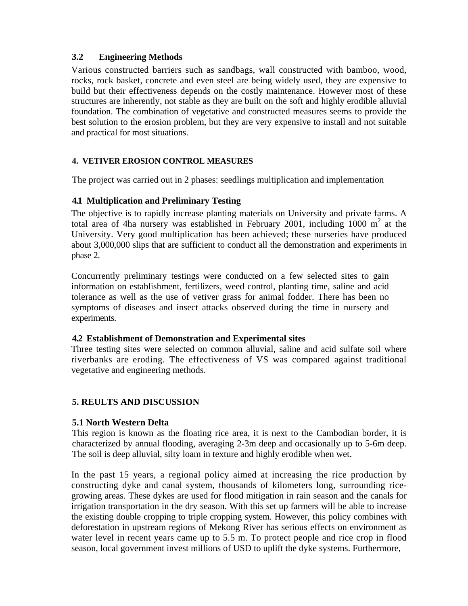# **3.2 Engineering Methods**

Various constructed barriers such as sandbags, wall constructed with bamboo, wood, rocks, rock basket, concrete and even steel are being widely used, they are expensive to build but their effectiveness depends on the costly maintenance. However most of these structures are inherently, not stable as they are built on the soft and highly erodible alluvial foundation. The combination of vegetative and constructed measures seems to provide the best solution to the erosion problem, but they are very expensive to install and not suitable and practical for most situations.

# **4. VETIVER EROSION CONTROL MEASURES**

The project was carried out in 2 phases: seedlings multiplication and implementation

# **4.1 Multiplication and Preliminary Testing**

The objective is to rapidly increase planting materials on University and private farms. A total area of 4ha nursery was established in February 2001, including  $1000 \text{ m}^2$  at the University. Very good multiplication has been achieved; these nurseries have produced about 3,000,000 slips that are sufficient to conduct all the demonstration and experiments in phase 2.

Concurrently preliminary testings were conducted on a few selected sites to gain information on establishment, fertilizers, weed control, planting time, saline and acid tolerance as well as the use of vetiver grass for animal fodder. There has been no symptoms of diseases and insect attacks observed during the time in nursery and experiments.

# **4.2 Establishment of Demonstration and Experimental sites**

Three testing sites were selected on common alluvial, saline and acid sulfate soil where riverbanks are eroding. The effectiveness of VS was compared against traditional vegetative and engineering methods.

# **5. REULTS AND DISCUSSION**

# **5.1 North Western Delta**

This region is known as the floating rice area, it is next to the Cambodian border, it is characterized by annual flooding, averaging 2-3m deep and occasionally up to 5-6m deep. The soil is deep alluvial, silty loam in texture and highly erodible when wet.

In the past 15 years, a regional policy aimed at increasing the rice production by constructing dyke and canal system, thousands of kilometers long, surrounding ricegrowing areas. These dykes are used for flood mitigation in rain season and the canals for irrigation transportation in the dry season. With this set up farmers will be able to increase the existing double cropping to triple cropping system. However, this policy combines with deforestation in upstream regions of Mekong River has serious effects on environment as water level in recent years came up to 5.5 m. To protect people and rice crop in flood season, local government invest millions of USD to uplift the dyke systems. Furthermore,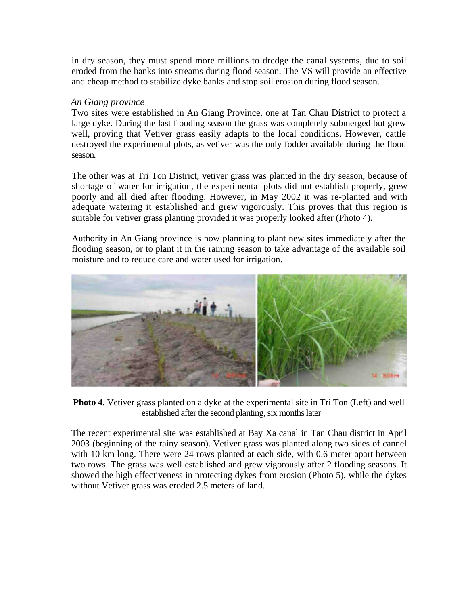in dry season, they must spend more millions to dredge the canal systems, due to soil eroded from the banks into streams during flood season. The VS will provide an effective and cheap method to stabilize dyke banks and stop soil erosion during flood season.

#### *An Giang province*

Two sites were established in An Giang Province, one at Tan Chau District to protect a large dyke. During the last flooding season the grass was completely submerged but grew well, proving that Vetiver grass easily adapts to the local conditions. However, cattle destroyed the experimental plots, as vetiver was the only fodder available during the flood season.

The other was at Tri Ton District, vetiver grass was planted in the dry season, because of shortage of water for irrigation, the experimental plots did not establish properly, grew poorly and all died after flooding. However, in May 2002 it was re-planted and with adequate watering it established and grew vigorously. This proves that this region is suitable for vetiver grass planting provided it was properly looked after (Photo 4).

Authority in An Giang province is now planning to plant new sites immediately after the flooding season, or to plant it in the raining season to take advantage of the available soil moisture and to reduce care and water used for irrigation.



**Photo 4.** Vetiver grass planted on a dyke at the experimental site in Tri Ton (Left) and well established after the second planting, six months later

The recent experimental site was established at Bay Xa canal in Tan Chau district in April 2003 (beginning of the rainy season). Vetiver grass was planted along two sides of cannel with 10 km long. There were 24 rows planted at each side, with 0.6 meter apart between two rows. The grass was well established and grew vigorously after 2 flooding seasons. It showed the high effectiveness in protecting dykes from erosion (Photo 5), while the dykes without Vetiver grass was eroded 2.5 meters of land.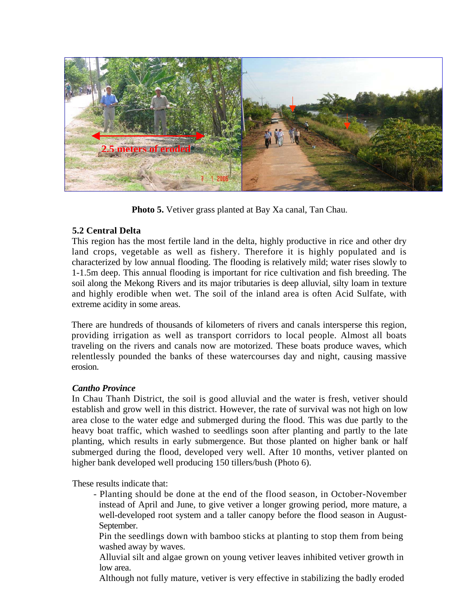

**Photo 5.** Vetiver grass planted at Bay Xa canal, Tan Chau.

# **5.2 Central Delta**

This region has the most fertile land in the delta, highly productive in rice and other dry land crops, vegetable as well as fishery. Therefore it is highly populated and is characterized by low annual flooding. The flooding is relatively mild; water rises slowly to 1-1.5m deep. This annual flooding is important for rice cultivation and fish breeding. The soil along the Mekong Rivers and its major tributaries is deep alluvial, silty loam in texture and highly erodible when wet. The soil of the inland area is often Acid Sulfate, with extreme acidity in some areas.

There are hundreds of thousands of kilometers of rivers and canals intersperse this region, providing irrigation as well as transport corridors to local people. Almost all boats traveling on the rivers and canals now are motorized. These boats produce waves, which relentlessly pounded the banks of these watercourses day and night, causing massive erosion.

# *Cantho Province*

In Chau Thanh District, the soil is good alluvial and the water is fresh, vetiver should establish and grow well in this district. However, the rate of survival was not high on low area close to the water edge and submerged during the flood. This was due partly to the heavy boat traffic, which washed to seedlings soon after planting and partly to the late planting, which results in early submergence. But those planted on higher bank or half submerged during the flood, developed very well. After 10 months, vetiver planted on higher bank developed well producing 150 tillers/bush (Photo 6).

These results indicate that:

- Planting should be done at the end of the flood season, in October-November instead of April and June, to give vetiver a longer growing period, more mature, a well-developed root system and a taller canopy before the flood season in August-September.

Pin the seedlings down with bamboo sticks at planting to stop them from being washed away by waves.

Alluvial silt and algae grown on young vetiver leaves inhibited vetiver growth in low area.

Although not fully mature, vetiver is very effective in stabilizing the badly eroded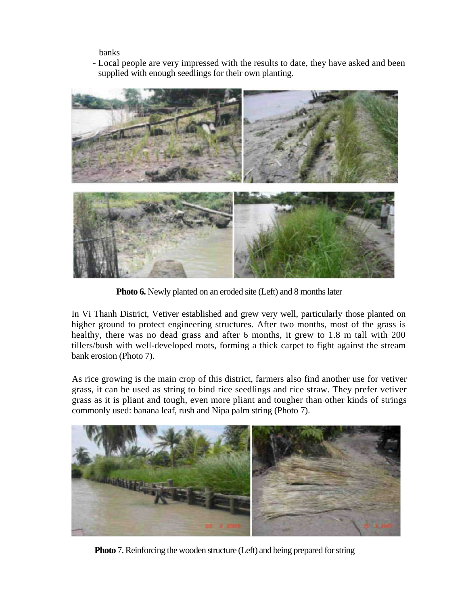banks

- Local people are very impressed with the results to date, they have asked and been supplied with enough seedlings for their own planting.



**Photo 6.** Newly planted on an eroded site (Left) and 8 months later

In Vi Thanh District, Vetiver established and grew very well, particularly those planted on higher ground to protect engineering structures. After two months, most of the grass is healthy, there was no dead grass and after 6 months, it grew to 1.8 m tall with 200 tillers/bush with well-developed roots, forming a thick carpet to fight against the stream bank erosion (Photo 7).

As rice growing is the main crop of this district, farmers also find another use for vetiver grass, it can be used as string to bind rice seedlings and rice straw. They prefer vetiver grass as it is pliant and tough, even more pliant and tougher than other kinds of strings commonly used: banana leaf, rush and Nipa palm string (Photo 7).



**Photo** 7. Reinforcing the wooden structure (Left) and being prepared for string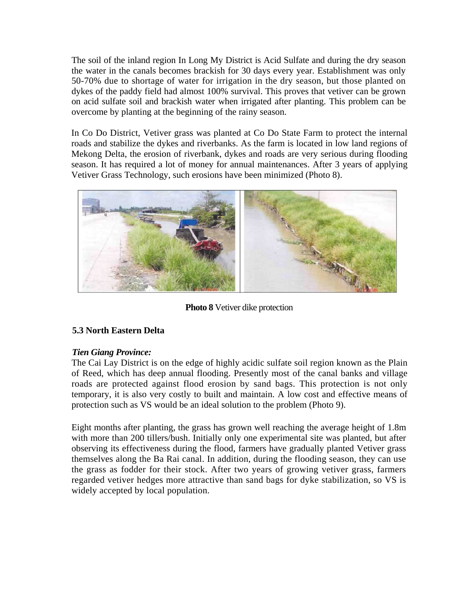The soil of the inland region In Long My District is Acid Sulfate and during the dry season the water in the canals becomes brackish for 30 days every year. Establishment was only 50-70% due to shortage of water for irrigation in the dry season, but those planted on dykes of the paddy field had almost 100% survival. This proves that vetiver can be grown on acid sulfate soil and brackish water when irrigated after planting. This problem can be overcome by planting at the beginning of the rainy season.

In Co Do District, Vetiver grass was planted at Co Do State Farm to protect the internal roads and stabilize the dykes and riverbanks. As the farm is located in low land regions of Mekong Delta, the erosion of riverbank, dykes and roads are very serious during flooding season. It has required a lot of money for annual maintenances. After 3 years of applying Vetiver Grass Technology, such erosions have been minimized (Photo 8).



**Photo 8** Vetiver dike protection

# **5.3 North Eastern Delta**

# *Tien Giang Province:*

The Cai Lay District is on the edge of highly acidic sulfate soil region known as the Plain of Reed, which has deep annual flooding. Presently most of the canal banks and village roads are protected against flood erosion by sand bags. This protection is not only temporary, it is also very costly to built and maintain. A low cost and effective means of protection such as VS would be an ideal solution to the problem (Photo 9).

Eight months after planting, the grass has grown well reaching the average height of 1.8m with more than 200 tillers/bush. Initially only one experimental site was planted, but after observing its effectiveness during the flood, farmers have gradually planted Vetiver grass themselves along the Ba Rai canal. In addition, during the flooding season, they can use the grass as fodder for their stock. After two years of growing vetiver grass, farmers regarded vetiver hedges more attractive than sand bags for dyke stabilization, so VS is widely accepted by local population.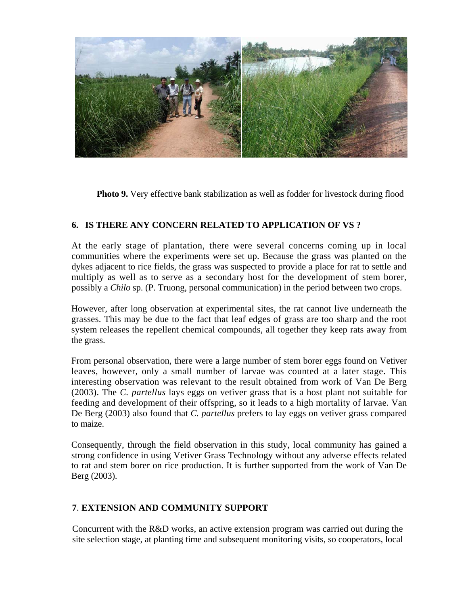

**Photo 9.** Very effective bank stabilization as well as fodder for livestock during flood

# **6. IS THERE ANY CONCERN RELATED TO APPLICATION OF VS ?**

At the early stage of plantation, there were several concerns coming up in local communities where the experiments were set up. Because the grass was planted on the dykes adjacent to rice fields, the grass was suspected to provide a place for rat to settle and multiply as well as to serve as a secondary host for the development of stem borer, possibly a *Chilo* sp. (P. Truong, personal communication) in the period between two crops.

However, after long observation at experimental sites, the rat cannot live underneath the grasses. This may be due to the fact that leaf edges of grass are too sharp and the root system releases the repellent chemical compounds, all together they keep rats away from the grass.

From personal observation, there were a large number of stem borer eggs found on Vetiver leaves, however, only a small number of larvae was counted at a later stage. This interesting observation was relevant to the result obtained from work of Van De Berg (2003). The *C. partellus* lays eggs on vetiver grass that is a host plant not suitable for feeding and development of their offspring, so it leads to a high mortality of larvae. Van De Berg (2003) also found that *C. partellus* prefers to lay eggs on vetiver grass compared to maize.

Consequently, through the field observation in this study, local community has gained a strong confidence in using Vetiver Grass Technology without any adverse effects related to rat and stem borer on rice production. It is further supported from the work of Van De Berg (2003).

# **7**. **EXTENSION AND COMMUNITY SUPPORT**

Concurrent with the R&D works, an active extension program was carried out during the site selection stage, at planting time and subsequent monitoring visits, so cooperators, local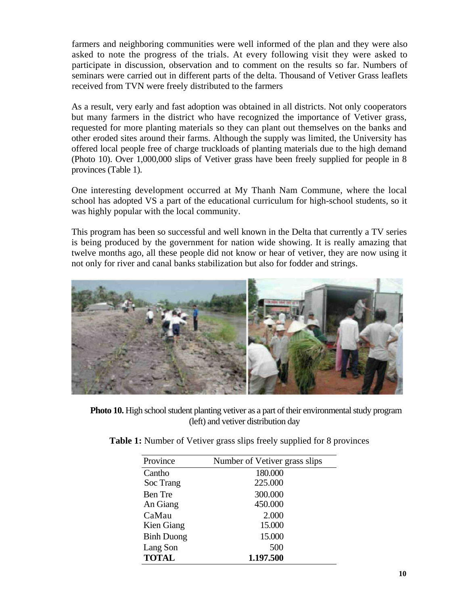farmers and neighboring communities were well informed of the plan and they were also asked to note the progress of the trials. At every following visit they were asked to participate in discussion, observation and to comment on the results so far. Numbers of seminars were carried out in different parts of the delta. Thousand of Vetiver Grass leaflets received from TVN were freely distributed to the farmers

As a result, very early and fast adoption was obtained in all districts. Not only cooperators but many farmers in the district who have recognized the importance of Vetiver grass, requested for more planting materials so they can plant out themselves on the banks and other eroded sites around their farms. Although the supply was limited, the University has offered local people free of charge truckloads of planting materials due to the high demand (Photo 10). Over 1,000,000 slips of Vetiver grass have been freely supplied for people in 8 provinces (Table 1).

One interesting development occurred at My Thanh Nam Commune, where the local school has adopted VS a part of the educational curriculum for high-school students, so it was highly popular with the local community.

This program has been so successful and well known in the Delta that currently a TV series is being produced by the government for nation wide showing. It is really amazing that twelve months ago, all these people did not know or hear of vetiver, they are now using it not only for river and canal banks stabilization but also for fodder and strings.



**Photo 10.** High school student planting vetiver as a part of their environmental study program (left) and vetiver distribution day

| Province          | Number of Vetiver grass slips |
|-------------------|-------------------------------|
| Cantho            | 180.000                       |
| Soc Trang         | 225.000                       |
| Ben Tre           | 300.000                       |
| An Giang          | 450.000                       |
| CaMau             | 2.000                         |
| Kien Giang        | 15.000                        |
| <b>Binh Duong</b> | 15.000                        |
| Lang Son          | 500                           |
| <b>TOTAL</b>      | 1.197.500                     |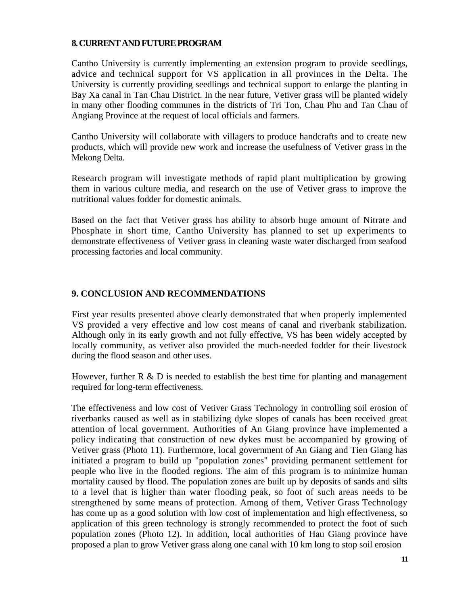#### **8. CURRENT AND FUTURE PROGRAM**

Cantho University is currently implementing an extension program to provide seedlings, advice and technical support for VS application in all provinces in the Delta. The University is currently providing seedlings and technical support to enlarge the planting in Bay Xa canal in Tan Chau District. In the near future, Vetiver grass will be planted widely in many other flooding communes in the districts of Tri Ton, Chau Phu and Tan Chau of Angiang Province at the request of local officials and farmers.

Cantho University will collaborate with villagers to produce handcrafts and to create new products, which will provide new work and increase the usefulness of Vetiver grass in the Mekong Delta.

Research program will investigate methods of rapid plant multiplication by growing them in various culture media, and research on the use of Vetiver grass to improve the nutritional values fodder for domestic animals.

Based on the fact that Vetiver grass has ability to absorb huge amount of Nitrate and Phosphate in short time, Cantho University has planned to set up experiments to demonstrate effectiveness of Vetiver grass in cleaning waste water discharged from seafood processing factories and local community.

#### **9. CONCLUSION AND RECOMMENDATIONS**

First year results presented above clearly demonstrated that when properly implemented VS provided a very effective and low cost means of canal and riverbank stabilization. Although only in its early growth and not fully effective, VS has been widely accepted by locally community, as vetiver also provided the much-needed fodder for their livestock during the flood season and other uses.

However, further  $R \& D$  is needed to establish the best time for planting and management required for long-term effectiveness.

The effectiveness and low cost of Vetiver Grass Technology in controlling soil erosion of riverbanks caused as well as in stabilizing dyke slopes of canals has been received great attention of local government. Authorities of An Giang province have implemented a policy indicating that construction of new dykes must be accompanied by growing of Vetiver grass (Photo 11). Furthermore, local government of An Giang and Tien Giang has initiated a program to build up "population zones" providing permanent settlement for people who live in the flooded regions. The aim of this program is to minimize human mortality caused by flood. The population zones are built up by deposits of sands and silts to a level that is higher than water flooding peak, so foot of such areas needs to be strengthened by some means of protection. Among of them, Vetiver Grass Technology has come up as a good solution with low cost of implementation and high effectiveness, so application of this green technology is strongly recommended to protect the foot of such population zones (Photo 12). In addition, local authorities of Hau Giang province have proposed a plan to grow Vetiver grass along one canal with 10 km long to stop soil erosion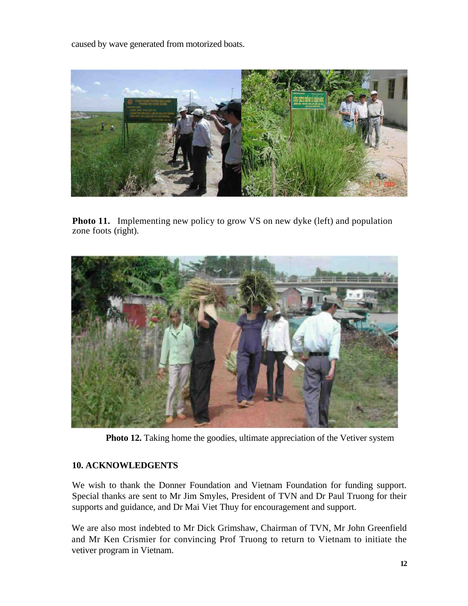caused by wave generated from motorized boats.



**Photo 11.** Implementing new policy to grow VS on new dyke (left) and population zone foots (right).



**Photo 12.** Taking home the goodies, ultimate appreciation of the Vetiver system

# **10. ACKNOWLEDGENTS**

We wish to thank the Donner Foundation and Vietnam Foundation for funding support. Special thanks are sent to Mr Jim Smyles, President of TVN and Dr Paul Truong for their supports and guidance, and Dr Mai Viet Thuy for encouragement and support.

We are also most indebted to Mr Dick Grimshaw, Chairman of TVN, Mr John Greenfield and Mr Ken Crismier for convincing Prof Truong to return to Vietnam to initiate the vetiver program in Vietnam.